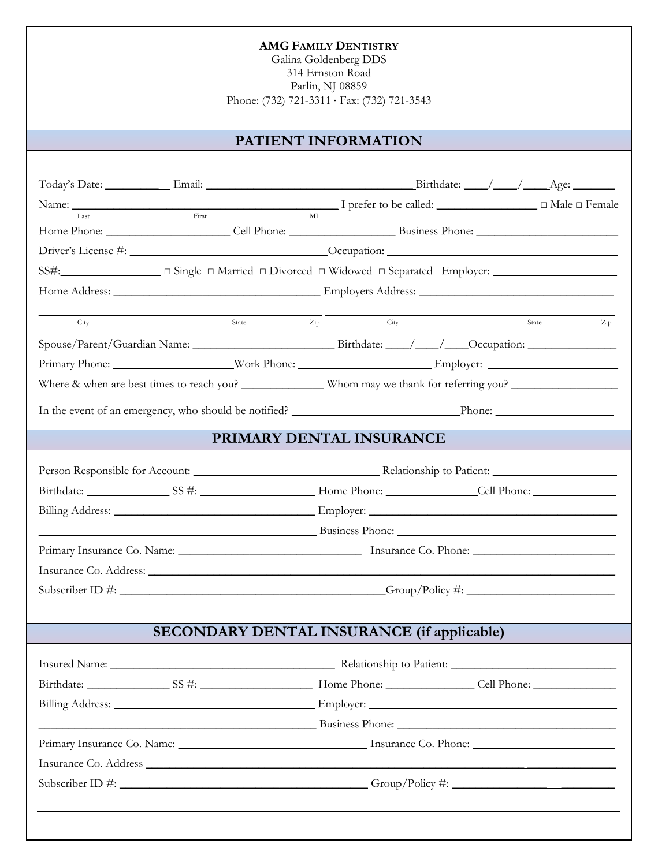Galina Goldenberg DDS 314 Ernston Road Parlin, NJ 08859 Phone: (732) 721-3311 · Fax: (732) 721-3543

## **PATIENT INFORMATION**

| Last | First | MI                                                                                   |                                                                                                                       |
|------|-------|--------------------------------------------------------------------------------------|-----------------------------------------------------------------------------------------------------------------------|
|      |       |                                                                                      |                                                                                                                       |
|      |       |                                                                                      |                                                                                                                       |
|      |       |                                                                                      |                                                                                                                       |
|      |       |                                                                                      |                                                                                                                       |
| City | State | $\operatorname{Zip}$<br>City                                                         | State<br>Zip                                                                                                          |
|      |       |                                                                                      | Spouse/Parent/Guardian Name: Birthdate: / / / Occupation:                                                             |
|      |       |                                                                                      |                                                                                                                       |
|      |       |                                                                                      |                                                                                                                       |
|      |       |                                                                                      |                                                                                                                       |
|      |       | PRIMARY DENTAL INSURANCE                                                             |                                                                                                                       |
|      |       |                                                                                      |                                                                                                                       |
|      |       |                                                                                      |                                                                                                                       |
|      |       |                                                                                      |                                                                                                                       |
|      |       |                                                                                      | <u>Example 2008 and 2008 and 2008 and 2008 and 2008 and 2008 and 2008 and 2008 and 2008 and 2008 and 2008 and 200</u> |
|      |       |                                                                                      |                                                                                                                       |
|      |       |                                                                                      |                                                                                                                       |
|      |       |                                                                                      |                                                                                                                       |
|      |       | Insurance Co. Address: Lawrence Co. Address: Lawrence Co. Address: Lawrence Co. 2014 | Subscriber ID #: Group/Policy #: Group/Policy #:                                                                      |
|      |       |                                                                                      |                                                                                                                       |
|      |       | <b>SECONDARY DENTAL INSURANCE (if applicable)</b>                                    |                                                                                                                       |
|      |       |                                                                                      |                                                                                                                       |
|      |       |                                                                                      |                                                                                                                       |
|      |       |                                                                                      |                                                                                                                       |
|      |       |                                                                                      |                                                                                                                       |
|      |       |                                                                                      |                                                                                                                       |
|      |       |                                                                                      | Primary Insurance Co. Name: 1988 Manual Library Insurance Co. Phone: 1988 Manual Library Insurance Co. Phone:         |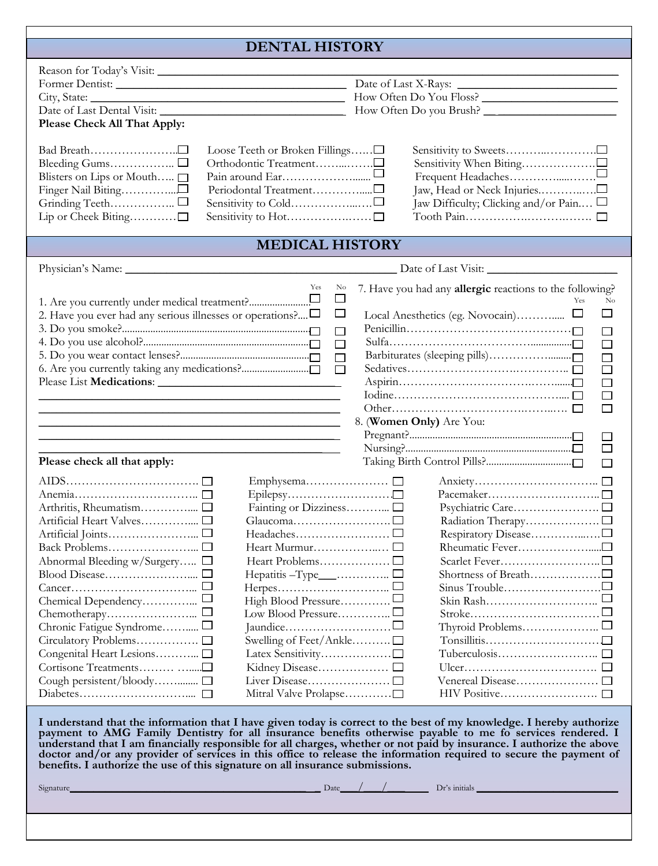### **DENTAL HISTORY**

| Please Check All That Apply:<br>Loose Teeth or Broken Fillings∟<br>Blisters on Lips or Mouth □<br>Lip or Cheek Biting□                                                                                           | Jaw, Head or Neck Injuries□<br>Jaw Difficulty; Clicking and/or Pain □                                                                                                                                           |  |  |  |  |
|------------------------------------------------------------------------------------------------------------------------------------------------------------------------------------------------------------------|-----------------------------------------------------------------------------------------------------------------------------------------------------------------------------------------------------------------|--|--|--|--|
| <b>MEDICAL HISTORY</b>                                                                                                                                                                                           |                                                                                                                                                                                                                 |  |  |  |  |
|                                                                                                                                                                                                                  | Date of Last Visit:                                                                                                                                                                                             |  |  |  |  |
| Yes<br>No<br>$\Box$<br>2. Have you ever had any serious illnesses or operations? $\Box$<br>ш<br>$\Box$<br>$\Box$<br>$\Box$<br>$\Box$<br>Please check all that apply:                                             | 7. Have you had any allergic reactions to the following?<br>Yes<br>No<br>$\Box$<br>$\Box$<br>$\Box$<br>$\Box$<br>$\Box$<br>$\Box$<br>$\Box$<br>$\Box$<br>8. (Women Only) Are You:<br>$\Box$<br>$\Box$<br>$\Box$ |  |  |  |  |
| Artificial Heart Valves□<br>Heart Murmur□<br>Abnormal Bleeding w/Surgery □<br>High Blood Pressure□<br>Chronic Fatigue Syndrome□<br>Swelling of Feet/Ankle□<br>Cough persistent/bloody □<br>Mitral Valve Prolapse |                                                                                                                                                                                                                 |  |  |  |  |

**I understand that the information that I have given today is correct to the best of my knowledge. I hereby authorize payment to AMG Family Dentistry for all insurance benefits otherwise payable to me fo services rendered. I understand that I am financially responsible for all charges, whether or not paid by insurance. I authorize the above doctor and/or any provider of services in this office to release the information required to secure the payment of benefits. I authorize the use of this signature on all insurance submissions.**

 $Signature$   $Dr$  initials  $Dr$  is initials  $Dr$  initials  $Dr$  initials  $Dr$  initials  $Dr$  initials  $Dr$  initials  $Dr$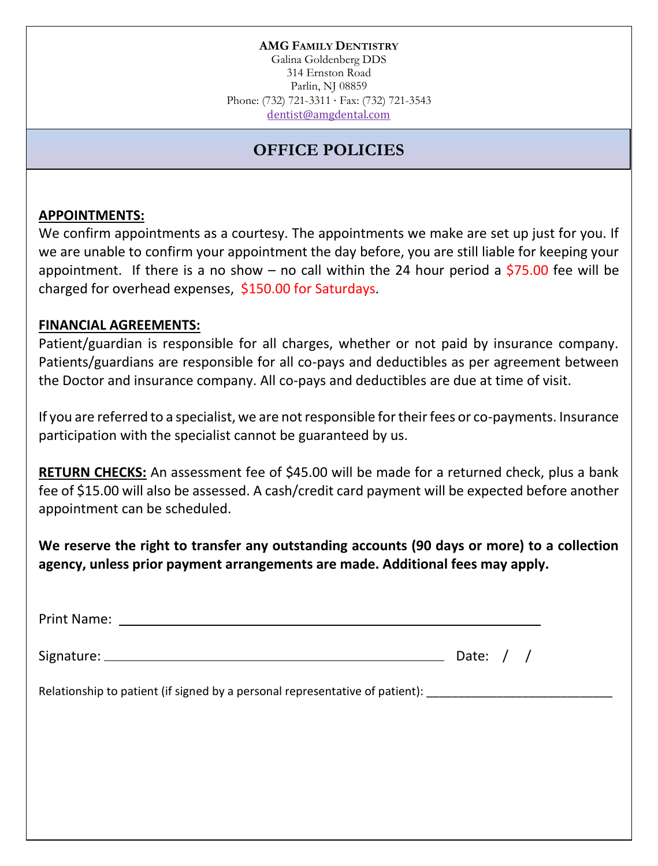Galina Goldenberg DDS 314 Ernston Road Parlin, NJ 08859 Phone: (732) 721-3311 · Fax: (732) 721-3543 dentist@amgdental.com

# **OFFICE POLICIES**

### **APPOINTMENTS:**

We confirm appointments as a courtesy. The appointments we make are set up just for you. If we are unable to confirm your appointment the day before, you are still liable for keeping your appointment. If there is a no show – no call within the 24 hour period a \$75.00 fee will be charged for overhead expenses, \$150.00 for Saturdays.

### **FINANCIAL AGREEMENTS:**

Patient/guardian is responsible for all charges, whether or not paid by insurance company. Patients/guardians are responsible for all co-pays and deductibles as per agreement between the Doctor and insurance company. All co-pays and deductibles are due at time of visit.

If you are referred to a specialist, we are not responsible for their fees or co-payments. Insurance participation with the specialist cannot be guaranteed by us.

**RETURN CHECKS:** An assessment fee of \$45.00 will be made for a returned check, plus a bank fee of \$15.00 will also be assessed. A cash/credit card payment will be expected before another appointment can be scheduled.

**We reserve the right to transfer any outstanding accounts (90 days or more) to a collection agency, unless prior payment arrangements are made. Additional fees may apply.**

|                                                                                                      | Date: $/$ / |
|------------------------------------------------------------------------------------------------------|-------------|
| Relationship to patient (if signed by a personal representative of patient): _______________________ |             |
|                                                                                                      |             |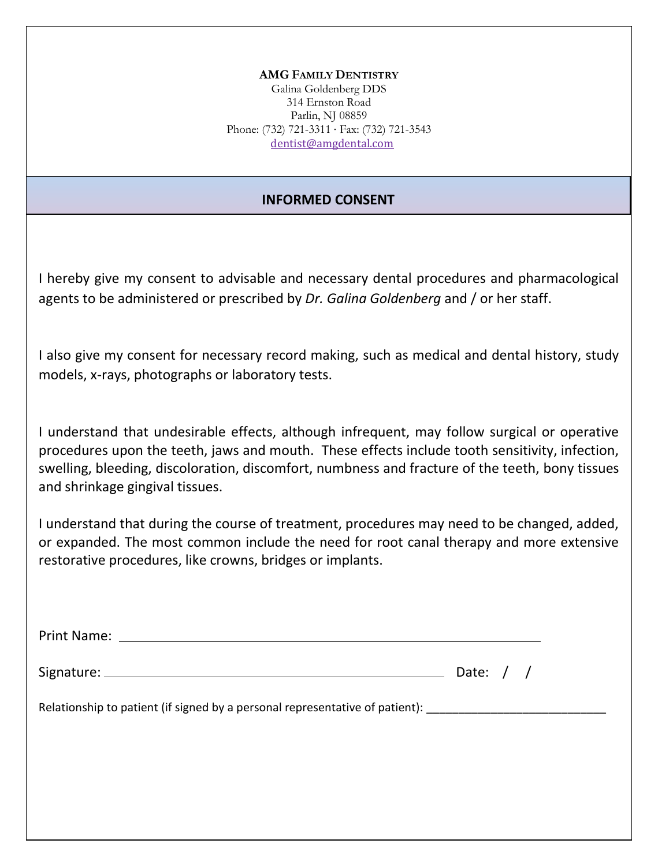Galina Goldenberg DDS 314 Ernston Road Parlin, NJ 08859 Phone: (732) 721-3311 · Fax: (732) 721-3543 dentist@amgdental.com

### **INFORMED CONSENT**

I hereby give my consent to advisable and necessary dental procedures and pharmacological agents to be administered or prescribed by *Dr. Galina Goldenberg* and / or her staff.

I also give my consent for necessary record making, such as medical and dental history, study models, x-rays, photographs or laboratory tests.

I understand that undesirable effects, although infrequent, may follow surgical or operative procedures upon the teeth, jaws and mouth. These effects include tooth sensitivity, infection, swelling, bleeding, discoloration, discomfort, numbness and fracture of the teeth, bony tissues and shrinkage gingival tissues.

I understand that during the course of treatment, procedures may need to be changed, added, or expanded. The most common include the need for root canal therapy and more extensive restorative procedures, like crowns, bridges or implants.

Print Name:

Signature:  $\frac{1}{2}$  Date: / /

Relationship to patient (if signed by a personal representative of patient):